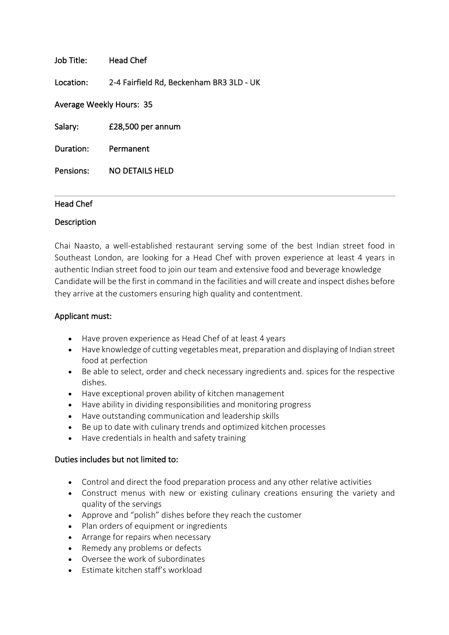| Job Title:               | Head Chef                                |
|--------------------------|------------------------------------------|
| Location:                | 2-4 Fairfield Rd, Beckenham BR3 3LD - UK |
| Average Weekly Hours: 35 |                                          |
| Salary:                  | £28,500 per annum                        |
| Duration:                | Permanent                                |
|                          |                                          |

## Head Chef

Pensions: NO DETAILS HELD

## Description

Chai Naasto, a well-established restaurant serving some of the best Indian street food in Southeast London, are looking for a Head Chef with proven experience at least 4 years in authentic Indian street food to join our team and extensive food and beverage knowledge Candidate will be the first in command in the facilities and will create and inspect dishes before they arrive at the customers ensuring high quality and contentment.

## Applicant must:

- Have proven experience as Head Chef of at least 4 years
- Have knowledge of cutting vegetables meat, preparation and displaying of Indian street food at perfection
- Be able to select, order and check necessary ingredients and. spices for the respective dishes.
- Have exceptional proven ability of kitchen management
- Have ability in dividing responsibilities and monitoring progress
- Have outstanding communication and leadership skills
- Be up to date with culinary trends and optimized kitchen processes
- Have credentials in health and safety training

## Duties includes but not limited to:

- Control and direct the food preparation process and any other relative activities
- Construct menus with new or existing culinary creations ensuring the variety and quality of the servings
- Approve and "polish" dishes before they reach the customer
- Plan orders of equipment or ingredients
- Arrange for repairs when necessary
- Remedy any problems or defects
- Oversee the work of subordinates
- Estimate kitchen staff's workload